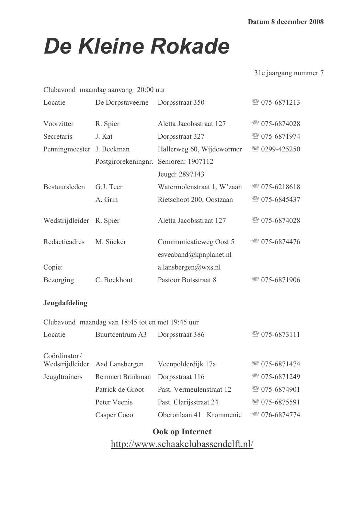# **De Kleine Rokade**

31e jaargang nummer 7

|                           | Clubavond maandag aanvang 20:00 uur              |                                                                       |  |               |
|---------------------------|--------------------------------------------------|-----------------------------------------------------------------------|--|---------------|
| Locatie                   | De Dorpstaveerne                                 | Dorpsstraat 350                                                       |  | ☎ 075-6871213 |
| Voorzitter                | R. Spier                                         | Aletta Jacobsstraat 127                                               |  | ☎ 075-6874028 |
| Secretaris                | J. Kat                                           | Dorpsstraat 327                                                       |  | ☎ 075-6871974 |
| Penningmeester J. Beekman |                                                  | Hallerweg 60, Wijdewormer                                             |  | ☎ 0299-425250 |
|                           | Postgirorekeningnr. Senioren: 1907112            |                                                                       |  |               |
|                           |                                                  | Jeugd: 2897143                                                        |  |               |
| Bestuursleden             | G.J. Teer                                        | Watermolenstraat 1, W'zaan                                            |  | ☎ 075-6218618 |
|                           | A. Grin                                          | Rietschoot 200, Oostzaan                                              |  | ☎ 075-6845437 |
| Wedstrijdleider R. Spier  |                                                  | Aletta Jacobsstraat 127                                               |  | ☎ 075-6874028 |
| Redactieadres             | M. Sücker                                        | Communicatieweg Oost 5                                                |  | ☎ 075-6874476 |
|                           |                                                  | esveaband@kpnplanet.nl                                                |  |               |
| Copie:                    |                                                  | a.lansbergen@wxs.nl                                                   |  |               |
| Bezorging                 | C. Boekhout                                      | Pastoor Botsstraat 8                                                  |  | ☎ 075-6871906 |
| Jeugdafdeling             |                                                  |                                                                       |  |               |
|                           | Clubavond maandag van 18:45 tot en met 19:45 uur |                                                                       |  |               |
| Locatie                   | Buurteentrum A3                                  | Dorpsstraat 386                                                       |  | ☎ 075-6873111 |
| Coördinator/              |                                                  |                                                                       |  |               |
| Wedstrijdleider           | Aad Lansbergen                                   | Veenpolderdijk 17a                                                    |  | ☎ 075-6871474 |
| Jeugdtrainers             | Remmert Brinkman                                 | Dorpsstraat 116<br>Past. Vermeulenstraat 12<br>Past. Clarijsstraat 24 |  | ☎ 075-6871249 |
|                           | Patrick de Groot                                 |                                                                       |  | ☎ 075-6874901 |
|                           | Peter Veenis                                     |                                                                       |  | ☎ 075-6875591 |
|                           | Casper Coco                                      | Oberonlaan 41 Krommenie                                               |  | ☎ 076-6874774 |
|                           |                                                  |                                                                       |  |               |

Ook op Internet

http://www.schaakclubassendelft.nl/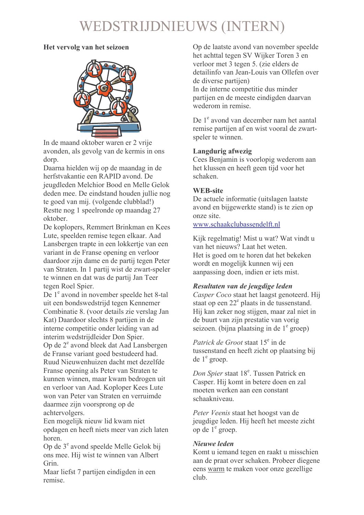# WEDSTRIJDNIEUWS (INTERN)

# Het vervolg van het seizoen



In de maand oktober waren er 2 vrije avonden, als gevolg van de kermis in ons dorp.

Daarna hielden wij op de maandag in de herfstvakantie een RAPID avond. De jeugdleden Melchior Bood en Melle Gelok deden mee. De eindstand houden jullie nog te goed van mij. (volgende clubblad!) Restte nog 1 speelronde op maandag 27 oktober

De koplopers, Remmert Brinkman en Kees Lute, speelden remise tegen elkaar. Aad Lansbergen trapte in een lokkertie van een variant in de Franse opening en verloor daardoor zijn dame en de partij tegen Peter van Straten. In 1 partij wist de zwart-speler te winnen en dat was de partij Jan Teer tegen Roel Spier.

De 1<sup>e</sup> avond in november speelde het 8-tal uit een bondswedstrijd tegen Kennemer Combinatie 8. (voor details zie verslag Jan Kat) Daardoor slechts 8 partijen in de interne competitie onder leiding van ad interim wedstrijdleider Don Spier. Op de 2<sup>e</sup> avond bleek dat Aad Lansbergen de Franse variant goed bestudeerd had. Ruud Nieuwenhuizen dacht met dezelfde Franse opening als Peter van Straten te kunnen winnen, maar kwam bedrogen uit en verloor van Aad. Koploper Kees Lute won van Peter van Straten en verruimde daarmee zijn voorsprong op de achtervolgers.

Een mogelijk nieuw lid kwam niet opdagen en heeft niets meer van zich laten horen.

Op de 3<sup>e</sup> avond speelde Melle Gelok bij ons mee. Hij wist te winnen van Albert Grin.

Maar liefst 7 partijen eindigden in een remise.

Op de laatste avond van november speelde het achttal tegen SV Wijker Toren 3 en verloor met 3 tegen 5. (zie elders de detailinfo van Jean-Louis van Ollefen over de diverse partijen) In de interne competitie dus minder partijen en de meeste eindigden daarvan wederom in remise

De 1<sup>e</sup> avond van december nam het aantal remise partijen af en wist vooral de zwartspeler te winnen.

# Langdurig afwezig

Cees Benjamin is voorlopig wederom aan het klussen en heeft geen tijd voor het schaken.

# **WEB-site**

De actuele informatie (uitslagen laatste avond en bijgewerkte stand) is te zien op onze site.

www.schaakclubassendelft.nl

Kijk regelmatig! Mist u wat? Wat vindt u van het nieuws? Laat het weten. Het is goed om te horen dat het bekeken wordt en mogelijk kunnen wij een aanpassing doen, indien er iets mist.

# Resultaten van de jeugdige leden

Casper Coco staat het laagst genoteerd. Hij staat op een  $22^e$  plaats in de tussenstand. Hij kan zeker nog stijgen, maar zal niet in de buurt van zijn prestatie van vorig seizoen. (bijna plaatsing in de  $1^e$  groep)

*Patrick de Groot* staat 15<sup>e</sup> in de tussenstand en heeft zicht op plaatsing bij de  $1^e$  groep.

Don Spier staat 18<sup>e</sup>. Tussen Patrick en Casper. Hij komt in betere doen en zal moeten werken aan een constant schaakniveau

Peter Veenis staat het hoogst van de jeugdige leden. Hij heeft het meeste zicht op de 1<sup>e</sup> groep.

# Nieuwe leden

Komt u jemand tegen en raakt u misschien aan de praat over schaken. Probeer diegene eens warm te maken voor onze gezellige  $club$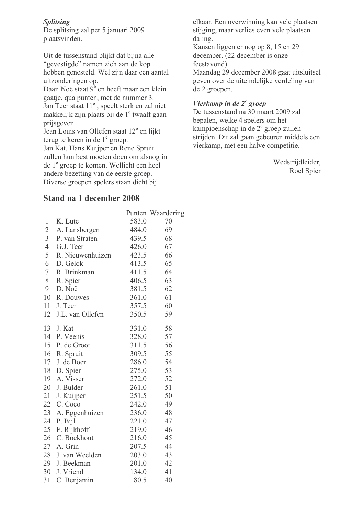# **Splitsing**

De splitsing zal per 5 januari 2009 plaatsvinden.

Uit de tussenstand blijkt dat bijna alle "gevestigde" namen zich aan de kop hebben genesteld. Wel zijn daar een aantal uitzonderingen op.

Daan Noë staat 9<sup>e</sup> en heeft maar een klein gaatje, qua punten, met de nummer 3. Jan Teer staat 11<sup>e</sup>, speelt sterk en zal niet makkelijk zijn plaats bij de 1<sup>e</sup> twaalf gaan prijsgeven.

Jean Louis van Ollefen staat 12<sup>e</sup> en lijkt terug te keren in de 1<sup>e</sup> groep.

Jan Kat, Hans Kuijper en Rene Spruit zullen hun best moeten doen om alsnog in de 1<sup>e</sup> groep te komen. Wellicht een heel andere bezetting van de eerste groep. Diverse groepen spelers staan dicht bij

# Stand na 1 december 2008

|                 |                     |       | Punten Waardering |
|-----------------|---------------------|-------|-------------------|
| 1               | K. Lute             | 583.0 | 70                |
| $\overline{2}$  | A. Lansbergen       | 484.0 | 69                |
| $\overline{3}$  | P. van Straten      | 439.5 | 68                |
| 4 <sup>1</sup>  | G.J. Teer           | 426.0 | 67                |
| 5 <sup>5</sup>  | R. Nieuwenhuizen    | 423.5 | 66                |
| 6               | D. Gelok            | 413.5 | 65                |
| $7\overline{ }$ | R. Brinkman         | 411.5 | 64                |
| 8               | R. Spier            | 406.5 | 63                |
| 9 <sup>1</sup>  | D. Noë              | 381.5 | 62                |
|                 | 10 R. Douwes        | 361.0 | 61                |
|                 | 11 J. Teer          | 357.5 | 60                |
|                 | 12 J.L. van Ollefen | 350.5 | 59                |
|                 | 13 J. Kat           | 331.0 | 58                |
|                 | 14 P. Veenis        | 328.0 | 57                |
|                 | 15 P. de Groot      | 311.5 | 56                |
|                 | 16 R. Spruit        | 309.5 | 55                |
|                 | 17 J. de Boer       | 286.0 | 54                |
|                 | 18 D. Spier         | 275.0 | 53                |
|                 | 19 A. Visser        | 272.0 | 52                |
|                 | 20 J. Bulder        | 261.0 | 51                |
|                 | 21 J. Kuijper       | 251.5 | 50                |
|                 | 22 C. Coco          | 242.0 | 49                |
| 23              | A. Eggenhuizen      | 236.0 | 48                |
| 24              | P. Bijl             | 221.0 | 47                |
| 25              | F. Rijkhoff         | 219.0 | 46                |
| 26              | C. Boekhout         | 216.0 | 45                |
|                 | 27 A. Grin          | 207.5 | 44                |
|                 | 28 J. van Weelden   | 203.0 | 43                |
|                 | 29 J. Beekman       | 201.0 | 42                |
|                 | 30 J. Vriend        | 134.0 | 41                |
| 31              | C. Benjamin         | 80.5  | 40                |

elkaar. Een overwinning kan vele plaatsen stijging, maar verlies even vele plaatsen daling.

Kansen liggen er nog op 8, 15 en 29 december. (22 december is onze feestavond) Maandag 29 december 2008 gaat uitsluitsel geven over de uiteindelijke verdeling van

# Vierkamp in de  $2^e$  groep

de 2 groepen.

De tussenstand na 30 maart 2009 zal bepalen, welke 4 spelers om het kampioenschap in de 2<sup>e</sup> groep zullen strijden. Dit zal gaan gebeuren middels een vierkamp, met een halve competitie.

> Wedstrijdleider, Roel Spier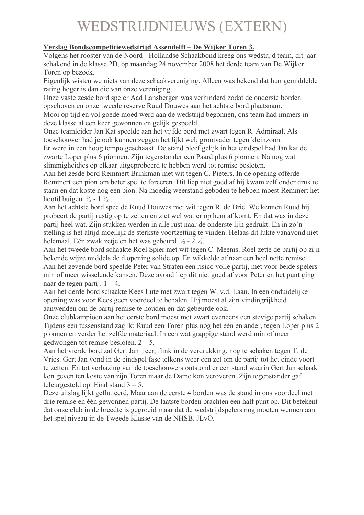# **WEDSTRIJDNIEUWS (EXTERN)**

# Verslag Bondscompetitiewedstrijd Assendelft – De Wijker Toren 3.

Volgens het rooster van de Noord - Hollandse Schaakbond kreeg ons wedstrijd team, dit jaar schakend in de klasse 2D, op maandag 24 november 2008 het derde team van De Wijker Toren on bezoek.

Eigenlijk wisten we niets van deze schaakvereniging. Alleen was bekend dat hun gemiddelde rating hoger is dan die van onze vereniging.

Onze vaste zesde bord speler Aad Lansbergen was verhinderd zodat de onderste borden opschoven en onze tweede reserve Ruud Douwes aan het achtste bord plaatsnam. Mooi op tijd en vol goede moed werd aan de wedstrijd begonnen, ons team had immers in deze klasse al een keer gewonnen en gelijk gespeeld.

Onze teamleider Jan Kat speelde aan het vijfde bord met zwart tegen R. Admiraal. Als toeschouwer had je ook kunnen zeggen het lijkt wel; grootvader tegen kleinzoon.

Er werd in een hoog tempo geschaakt. De stand bleef gelijk in het eindspel had Jan kat de zwarte Loper plus 6 pionnen. Zijn tegenstander een Paard plus 6 pionnen. Na nog wat slimmigheidies op elkaar uitgeprobeerd te hebben werd tot remise besloten.

Aan het zesde bord Remmert Brinkman met wit tegen C. Pieters. In de opening offerde Remmert een pion om beter spel te forceren. Dit liep niet goed af hij kwam zelf onder druk te staan en dat koste nog een pion. Na moedig weerstand geboden te hebben moest Remmert het hoofd buigen.  $\frac{1}{2}$  - 1 $\frac{1}{2}$ .

Aan het achtste bord speelde Ruud Douwes met wit tegen R. de Brie. We kennen Ruud hij probeert de partij rustig op te zetten en ziet wel wat er op hem af komt. En dat was in deze partij heel wat. Zijn stukken werden in alle rust naar de onderste lijn gedrukt. En in zo'n stelling is het altijd moeilijk de sterkste voortzetting te vinden. Helaas dit lukte vanavond niet helemaal. Eén zwak zetje en het was gebeurd.  $\frac{1}{2}$  - 2  $\frac{1}{2}$ .

Aan het tweede bord schaakte Roel Spier met wit tegen C. Meems. Roel zette de partij op zijn bekende wijze middels de d opening solide op. En wikkelde af naar een heel nette remise. Aan het zevende bord speelde Peter van Straten een risico volle partij, met voor beide spelers min of meer wisselende kansen. Deze avond liep dit niet goed af voor Peter en het punt ging naar de tegen partij.  $1 - 4$ .

Aan het derde bord schaakte Kees Lute met zwart tegen W. v.d. Laan. In een onduidelijke opening was voor Kees geen voordeel te behalen. Hij moest al zijn vindingrijkheid aanwenden om de partij remise te houden en dat gebeurde ook.

Onze clubkampioen aan het eerste bord moest met zwart eveneens een stevige partij schaken. Tijdens een tussenstand zag ik: Ruud een Toren plus nog het één en ander, tegen Loper plus 2 pionnen en verder het zelfde materiaal. In een wat grappige stand werd min of meer gedwongen tot remise besloten.  $2 - 5$ .

Aan het vierde bord zat Gert Jan Teer, flink in de verdrukking, nog te schaken tegen T. de Vries. Gert Jan vond in de eindspel fase telkens weer een zet om de partij tot het einde voort te zetten. En tot verbazing van de toeschouwers ontstond er een stand waarin Gert Jan schaak kon geven ten koste van zijn Toren maar de Dame kon veroveren. Zijn tegenstander gaf teleurgesteld op. Eind stand  $3 - 5$ .

Deze uitslag lijkt geflatteerd. Maar aan de eerste 4 borden was de stand in ons voordeel met drie remise en één gewonnen partij. De laatste borden brachten een half punt op. Dit betekent dat onze club in de breedte is gegroeid maar dat de wedstrijdspelers nog moeten wennen aan het spel niveau in de Tweede Klasse van de NHSB. JLvO.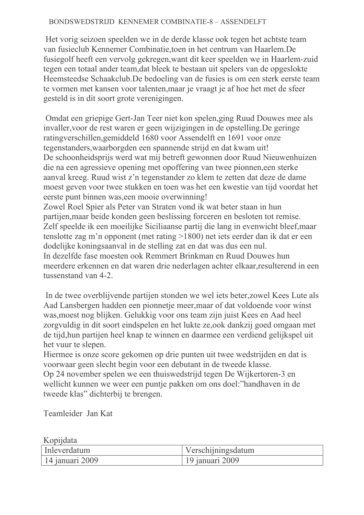# BONDSWEDSTRIJD KENNEMER COMBINATIE-8 - ASSENDELFT

Het vorig seizoen speelden we in de derde klasse ook tegen het achtste team van fusieclub Kennemer Combinatie, toen in het centrum van Haarlem. De fusiegolf heeft een vervolg gekregen, want dit keer speelden we in Haarlem-zuid tegen een totaal ander team, dat bleek te bestaan uit spelers van de opgeslokte Heemsteedse Schaakclub. De bedoeling van de fusies is om een sterk eerste team te vormen met kansen voor talenten, maar je vraagt je af hoe het met de sfeer gesteld is in dit soort grote verenigingen.

Omdat een griepige Gert-Jan Teer niet kon spelen, ging Ruud Douwes mee als invaller, voor de rest waren er geen wijzigingen in de opstelling. De geringe ratingverschillen, gemiddeld 1680 voor Assendelft en 1691 voor onze tegenstanders, waarborgden een spannende strijd en dat kwam uit! De schoonheidsprijs werd wat mij betreft gewonnen door Ruud Nieuwenhuizen die na een agressieve opening met opoffering van twee pionnen, een sterke aanval kreeg. Ruud wist z'n tegenstander zo klem te zetten dat deze de dame moest geven voor twee stukken en toen was het een kwestie van tijd voordat het eerste punt binnen was een mooie overwinning!

Zowel Roel Spier als Peter van Straten vond ik wat beter staan in hun partijen, maar beide konden geen beslissing forceren en besloten tot remise. Zelf speelde ik een moeilijke Siciliaanse partij die lang in evenwicht bleef, maar tenslotte zag m'n opponent (met rating  $>1800$ ) net iets eerder dan ik dat er een dodelijke koningsaanval in de stelling zat en dat was dus een nul. In dezelfde fase moesten ook Remmert Brinkman en Ruud Douwes hun meerdere erkennen en dat waren drie nederlagen achter elkaar resulterend in een tussenstand van 4-2.

In de twee overblijvende partijen stonden we wel jets beter, zowel Kees Lute als Aad Lansbergen hadden een pionnetje meer, maar of dat voldoende voor winst was moest nog blijken. Gelukkig voor ons team zijn juist Kees en Aad heel zorgyuldig in dit soort eindspelen en het lukte ze, ook dankzij goed omgaan met de tijd, hun partijen heel knap te winnen en daarmee een verdiend gelijkspel uit het vuur te slepen.

Hiermee is onze score gekomen op drie punten uit twee wedstrijden en dat is voorwaar geen slecht begin voor een debutant in de tweede klasse.

Op 24 november spelen we een thuiswedstrijd tegen De Wijkertoren-3 en wellicht kunnen we weer een puntje pakken om ons doel: "handhaven in de tweede klas" dichterbij te brengen.

Teamleider Jan Kat

| Kopijdata       |                    |
|-----------------|--------------------|
| Inleverdatum    | Verschijningsdatum |
| 14 januari 2009 | 19 januari 2009    |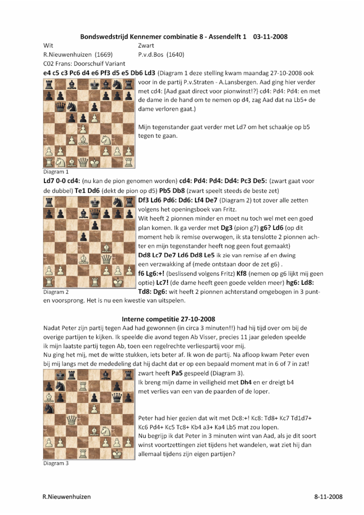## Bondswedstrijd Kennemer combinatie 8 - Assendelft 1 03-11-2008

Wit

R.Nieuwenhuizen (1669) C02 Frans: Doorschuif Variant 7wart P.v.d.Bos (1640)

e4 c5 c3 Pc6 d4 e6 Pf3 d5 e5 Db6 Ld3 (Diagram 1 deze stelling kwam maandag 27-10-2008 ook



voor in de partij P.v.Straten - A.Lansbergen. Aad ging hier verder met cd4: [Aad gaat direct voor pionwinst!?} cd4: Pd4: Pd4: en met de dame in de hand om te nemen op d4, zag Aad dat na Lb5+ de dame verloren gaat.)

Mijn tegenstander gaat verder met Ld7 om het schaakje op b5 tegen te gaan.

### Diagram 1

Ld7 0-0 cd4: (nu kan de pion genomen worden) cd4: Pd4: Pd4: Dd4: Pc3 De5: (zwart gaat voor de dubbel) Te1 Dd6 (dekt de pion op d5) Pb5 Db8 (zwart speelt steeds de beste zet)



Df3 Ld6 Pd6: Dd6: Lf4 De7 (Diagram 2) tot zover alle zetten volgens het openingsboek van Fritz.

Wit heeft 2 pionnen minder en moet nu toch wel met een goed plan komen. Ik ga verder met Dg3 (pion g7) g6? Ld6 (op dit moment heb ik remise overwogen, ik sta tenslotte 2 pionnen achter en mijn tegenstander heeft nog geen fout gemaakt) Dd8 Lc7 De7 Ld6 Dd8 Le5 ik zie van remise af en dwing een verzwakking af (mede ontstaan door de zet g6). f6 Lg6:+! (beslissend volgens Fritz) Kf8 (nemen op g6 lijkt mij geen optie) Lc7! (de dame heeft geen goede velden meer) hg6: Ld8:

Td8: Dg6: wit heeft 2 pionnen achterstand omgebogen in 3 punt-

Diagram<sub>2</sub>

en voorsprong. Het is nu een kwestie van uitspelen.

## Interne competitie 27-10-2008

Nadat Peter zijn partij tegen Aad had gewonnen (in circa 3 minuten!!) had hij tijd over om bij de overige partijen te kijken. Ik speelde die avond tegen Ab Visser, precies 11 jaar geleden speelde ik mijn laatste partij tegen Ab, toen een regelrechte verliespartij voor mij.

Nu ging het mij, met de witte stukken, iets beter af. Ik won de partij. Na afloop kwam Peter even bij mij langs met de mededeling dat hij dacht dat er op een bepaald moment mat in 6 of 7 in zat!



Diagram 3

zwart heeft Pa5 gespeeld (Diagram 3).

Ik breng mijn dame in veiligheid met Dh4 en er dreigt b4 met verlies van een van de paarden of de loper.

Peter had hier gezien dat wit met Dc8:+! Kc8: Td8+ Kc7 Td1d7+ Kc6 Pd4+ Kc5 Tc8+ Kb4 a3+ Ka4 Lb5 mat zou lopen. Nu begrijp ik dat Peter in 3 minuten wint van Aad, als je dit soort winst voortzettingen ziet tijdens het wandelen, wat ziet hij dan allemaal tijdens zijn eigen partijen?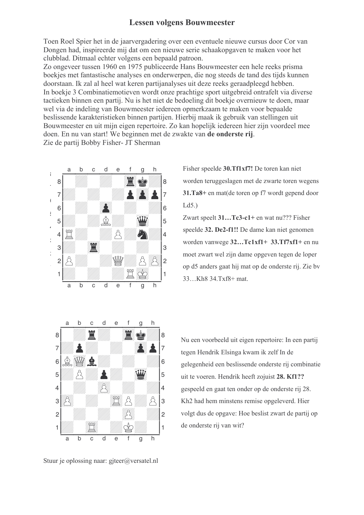# **Lessen volgens Bouwmeester**

Toen Roel Spier het in de jaarvergadering over een eventuele nieuwe cursus door Cor van Dongen had, inspireerde mij dat om een nieuwe serie schaakopgaven te maken voor het clubblad. Ditmaal echter volgens een bepaald patroon.

Zo ongeveer tussen 1960 en 1975 publiceerde Hans Bouwmeester een hele reeks prisma boekjes met fantastische analyses en onderwerpen, die nog steeds de tand des tijds kunnen doorstaan. Ik zal al heel wat keren partijanalyses uit deze reeks geraadpleegd hebben. In boekje 3 Combinatiemotieven wordt onze prachtige sport uitgebreid ontrafelt via diverse tactieken binnen een partij. Nu is het niet de bedoeling dit boekje overnieuw te doen, maar wel via de indeling van Bouwmeester iedereen opmerkzaam te maken voor bepaalde beslissende karakteristieken binnen partijen. Hierbij maak ik gebruik van stellingen uit Bouwmeester en uit mijn eigen repertoire. Zo kan hopelijk iedereen hier zijn voordeel mee doen. En nu van start! We beginnen met de zwakte van de onderste rij. Zie de partij Bobby Fisher- JT Sherman



Fisher speelde 30.Tf1xf7! De toren kan niet worden teruggeslagen met de zwarte toren wegens 31.Ta8+ en mat(de toren op f7 wordt gepend door  $Ld5.$ 

Zwart speelt 31...Tc3-c1+ en wat nu??? Fisher speelde 32. De2-f1!! De dame kan niet genomen worden vanwege 32...Tc1xf1+ 33.Tf7xf1+ en nu moet zwart wel zijn dame opgeven tegen de loper op d5 anders gaat hij mat op de onderste rij. Zie by 33...Kh8 34.Txf8+ mat.



Stuur je oplossing naar: gjteer@versatel.nl

Nu een voorbeeld uit eigen repertoire: In een partij tegen Hendrik Elsinga kwam ik zelf In de gelegenheid een beslissende onderste rij combinatie uit te voeren. Hendrik heeft zojuist 28. Kf1?? gespeeld en gaat ten onder op de onderste rij 28. Kh<sub>2</sub> had hem minstens remise opgeleverd. Hier volgt dus de opgave: Hoe beslist zwart de partij op de onderste rij van wit?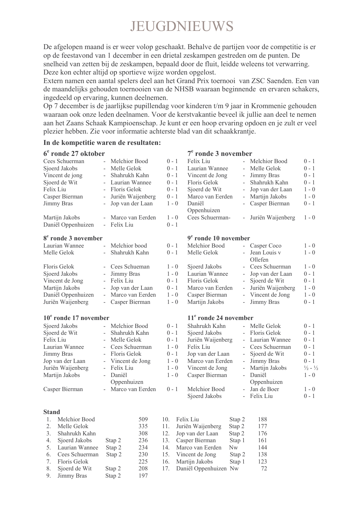# JEUGDNIEUWS

De afgelopen maand is er weer volop geschaakt. Behalve de partijen voor de competitie is er op de feestavond van 1 december in een drietal zeskampen gestreden om de punten. De snelheid van zetten bij de zeskampen, bepaald door de fluit, leidde weleens tot verwarring. Deze kon echter altijd op sportieve wijze worden opgelost.

Extern namen een aantal spelers deel aan het Grand Prix toernooi van ZSC Saenden. Een van de maandelijks gehouden toernooien van de NHSB waaraan beginnende en ervaren schakers, ingedeeld op ervaring, kunnen deelnemen.

Op 7 december is de jaarlijkse pupillendag voor kinderen t/m 9 jaar in Krommenie gehouden waaraan ook onze leden deelnamen. Voor de kerstvakantie beveel ik jullie aan deel te nemen aan het Zaans Schaak Kampioenschap. Je kunt er een hoop ervaring opdoen en je zult er veel plezier hebben. Zie voor informatie achterste blad van dit schaakkrantie.

## In de kompetitie waren de resultaten:

### $6<sup>e</sup>$  ronde 27 oktober  $7<sup>e</sup>$  ronde 3 november Felix Liu Cees Schuerman Melchior Bood  $0 - 1$ - Melchior Bood  $0 - 1$ Sioerd Jakobs Melle Gelok  $0 - 1$ Laurian Wannee Melle Gelok  $0 - 1$ Shahrukh Kahn  $0 - 1$ Jimmy Bras  $0 - 1$ Vincent de jong Vincent de Jong Sjoerd de Wit Laurian Wannee  $0 - 1$ Floris Gelok Shahrukh Kahn  $0 - 1$ Felix Liu Floris Gelok  $0 - 1$ Sioerd de Wit Jop van der Laan  $1 - 0$ Casper Bierman Juriën Waijenberg  $0 - 1$ Marco van Eerden Martijn Jakobs  $1 - 0$  $\mathbf{r}$ Jimmy Bras Jop van der Laan  $1 - 0$ Daniël Casper Bierman  $0 - 1$ Oppenhuizen Martijn Jakobs - Marco van Eerden  $1 - 0$ Cees Schuerman-- Juriën Waijenberg  $1 - 0$ Daniël Oppenhuizen Felix Liu  $0 - 1$ 8<sup>e</sup> ronde 3 november  $9<sup>e</sup>$  ronde 10 november Laurian Wannee Melchior bood  $0 - 1$ Melchior Bood - Casper Coco  $1 - 0$ Melle Gelok Shahrukh Kahn  $0 - 1$ Melle Gelok Jean Louis v  $1 - 0$ Ollefen Floris Gelok  $\mathbb{Z}^{\mathbb{Z}}$ Cees Schueman  $1 - 0$ Sjoerd Jakobs Cees Schuerman  $1 - 0$ Jimmy Bras  $1 - 0$ Laurian Wannee Jop van der Laan  $0 - 1$ Sjoerd Jakobs  $0 - 1$ Vincent de Jong Felix Liu Floris Gelok Sjoerd de Wit  $0 - 1$  $\overline{\phantom{a}}$  $0 - 1$  $1 - 0$ Martijn Jakobs Jop van der Laan Marco van Eerden Juriën Waijenberg Daniël Oppenhuizen  $1 - 0$ Vincent de Jong  $1 - 0$ Marco van Eerden Casper Bierman Juriën Waijenberg  $\overline{\phantom{a}}$ Casper Bierman  $1 - 0$ Martijn Jakobs Jimmy Bras  $0 - 1$  $10<sup>e</sup>$  ronde 17 november 11<sup>e</sup> ronde 24 november Sioerd Jakobs - Melchior Bood  $0 - 1$ Shahrukh Kahn - Melle Gelok  $0 - 1$ Sioerd de Wit  $0 - 1$ Shahrukh Kahn Sioerd Jakobs - Floris Gelok  $0 - 1$ Felix Liu Melle Gelok  $0 - 1$ Juriën Waijenberg Laurian Wannee  $0 - 1$ Laurian Wannee Cees Schuerman  $1 - 0$ Felix Liu Cees Schuerman  $0 - 1$ Jimmy Bras  $0 - 1$  $0 - 1$ Floris Gelok Jon van der Laan Sioerd de Wit Jop van der Laan Vincent de Jong  $1 - 0$ Marco van Eerden Jimmy Bras  $0 - 1$  $\frac{1}{2}$  -  $\frac{1}{2}$ Juriën Waijenberg Felix Liu  $1 - 0$ Martijn Jakobs  $\mathbb{Z}^{\mathbb{Z}}$ Vincent de Jong Daniël Martijn Jakobs Daniël  $1 - 0$ Casper Bierman  $1 - 0$ Oppenhuizen Oppenhuizen Casper Bierman Marco van Eerden  $0 - 1$ Melchior Bood Jan de Boer  $1 - 0$ Sjoerd Jakobs - Felix Liu  $0 - 1$ **Stand** 1 Melchior Bood 509  $10<sup>-10</sup>$ Felix Lin Stap 2 188  $2<sup>1</sup>$ Melle Gelok 335  $11$ Juriën Waijenberg Stap 2 177  $3.$ Shahrukh Kahn 308 12. Jop van der Laan Stap 2 176 4. 236  $13.$ Stap 1 Sjoerd Jakobs Stap 2 Casper Bierman 161 5. 234  $14$ Laurian Wannee Stap 2 Marco van Eerden  $Nw$ 144 6. Cees Schuerman Stap 2 230 15. Vincent de Jong Stap 2 138  $7<sub>1</sub>$ Floris Gelok 225  $16.$ Martijn Jakobs Stap 1 123  $8<sup>7</sup>$ Sjoerd de Wit Stap 2 208  $17$ Daniël Oppenhuizen Nw 72

9. Jimmy Bras Stap 2

197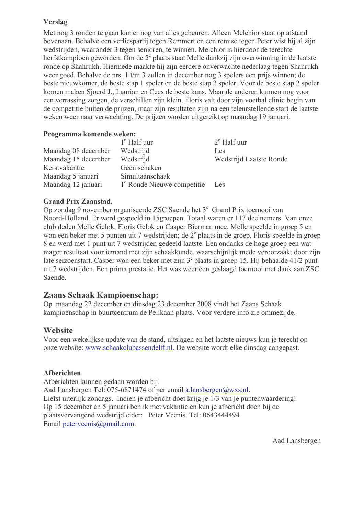# **Verslag**

Met nog 3 ronden te gaan kan er nog van alles gebeuren. Alleen Melchior staat op afstand bovenaan. Behalve een verliespartij tegen Remmert en een remise tegen Peter wist hij al zijn wedstrijden, waaronder 3 tegen senioren, te winnen. Melchior is hierdoor de terechte herfstkampioen geworden. Om de 2<sup>e</sup> plaats staat Melle dankzij zijn overwinning in de laatste ronde op Shahrukh. Hiermede maakte hij zijn eerdere onverwachte nederlaag tegen Shahrukh weer goed. Behalve de nrs. 1 t/m 3 zullen in december nog 3 spelers een prijs winnen; de beste nieuwkomer, de beste stap 1 speler en de beste stap 2 speler. Voor de beste stap 2 speler komen maken Sioerd J., Laurian en Cees de beste kans. Maar de anderen kunnen nog voor een verrassing zorgen, de verschillen zijn klein. Floris valt door zijn voetbal clinic begin van de competitie buiten de prijzen, maar zijn resultaten zijn na een teleurstellende start de laatste weken weer naar verwachting. De prijzen worden uitgereikt op maandag 19 januari.

# Programma komende weken:

|                     | $1^e$ Half uur                         | $2^e$ Half uur          |
|---------------------|----------------------------------------|-------------------------|
| Maandag 08 december | Wedstrijd                              | Les                     |
| Maandag 15 december | Wedstrijd                              | Wedstrijd Laatste Ronde |
| Kerstvakantie       | Geen schaken                           |                         |
| Maandag 5 januari   | Simultaanschaak                        |                         |
| Maandag 12 januari  | 1 <sup>e</sup> Ronde Nieuwe competitie | Les                     |

# **Grand Prix Zaanstad.**

Op zondag 9 november organiseerde ZSC Saende het 3<sup>e</sup> Grand Prix toernooi van Noord-Holland. Er werd gespeeld in 15groepen. Totaal waren er 117 deelnemers. Van onze club deden Melle Gelok, Floris Gelok en Casper Bierman mee. Melle speelde in groep 5 en won een beker met 5 punten uit 7 wedstrijden; de 2<sup>e</sup> plaats in de groep. Floris speelde in groep 8 en werd met 1 punt uit 7 wedstrijden gedeeld laatste. Een ondanks de hoge groep een wat mager resultaat voor iemand met zijn schaakkunde, waarschijnlijk mede veroorzaakt door zijn late seizoenstart. Casper won een beker met zijn 3<sup>e</sup> plaats in groep 15. Hij behaalde 41/2 punt uit 7 wedstrijden. Een prima prestatie. Het was weer een geslaagd toernooi met dank aan ZSC Saende.

# **Zaans Schaak Kampioenschap:**

Op maandag 22 december en dinsdag 23 december 2008 vindt het Zaans Schaak kampioenschap in buurteentrum de Pelikaan plaats. Voor verdere info zie ommezijde.

# **Website**

Voor een wekelijkse update van de stand, uitslagen en het laatste nieuws kun je terecht op onze website: www.schaakclubassendelft.nl. De website wordt elke dinsdag aangepast.

## **Afberichten**

Afberichten kunnen gedaan worden bij: Aad Lansbergen Tel: 075-6871474 of per email a.lansbergen@wxs.nl. Liefst uiterlijk zondags. Indien je afbericht doet krijg je 1/3 van je puntenwaardering! Op 15 december en 5 januari ben ik met vakantie en kun je afbericht doen bij de plaatsvervangend wedstrijdleider: Peter Veenis. Tel: 0643444494 Email peterveenis@gmail.com.

Aad Lansbergen